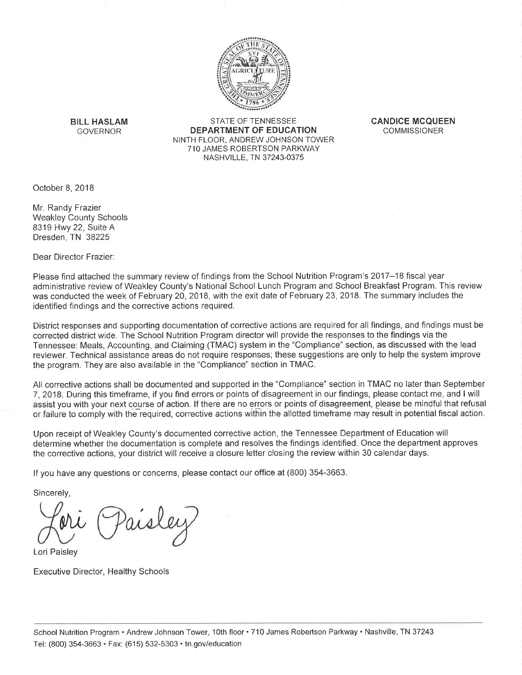

**BILL HASLAM GOVERNOR** 

STATE OF TENNESSEE DEPARTMENT OF EDUCATION NINTH FLOOR, ANDREW JOHNSON TOWER 710 JAMES ROBERTSON PARKWAY NASHVILLE, TN 37243-0375

**CANDICE MCQUEEN COMMISSIONER** 

October 8, 2018

Mr. Randy Frazier **Weakley County Schools** 8319 Hwy 22, Suite A Dresden, TN 38225

Dear Director Frazier:

Please find attached the summary review of findings from the School Nutrition Program's 2017-18 fiscal year administrative review of Weakley County's National School Lunch Program and School Breakfast Program. This review was conducted the week of February 20, 2018, with the exit date of February 23, 2018. The summary includes the identified findings and the corrective actions required.

District responses and supporting documentation of corrective actions are required for all findings, and findings must be corrected district wide. The School Nutrition Program director will provide the responses to the findings via the Tennessee: Meals, Accounting, and Claiming (TMAC) system in the "Compliance" section, as discussed with the lead reviewer. Technical assistance areas do not require responses; these suggestions are only to help the system improve the program. They are also available in the "Compliance" section in TMAC.

All corrective actions shall be documented and supported in the "Compliance" section in TMAC no later than September 7, 2018. During this timeframe, if you find errors or points of disagreement in our findings, please contact me, and I will assist you with your next course of action. If there are no errors or points of disagreement, please be mindful that refusal or failure to comply with the required, corrective actions within the allotted timeframe may result in potential fiscal action.

Upon receipt of Weakley County's documented corrective action, the Tennessee Department of Education will determine whether the documentation is complete and resolves the findings identified. Once the department approves the corrective actions, your district will receive a closure letter closing the review within 30 calendar days.

If you have any questions or concerns, please contact our office at (800) 354-3663.

Sincerely,

Lori Paisley

**Executive Director, Healthy Schools**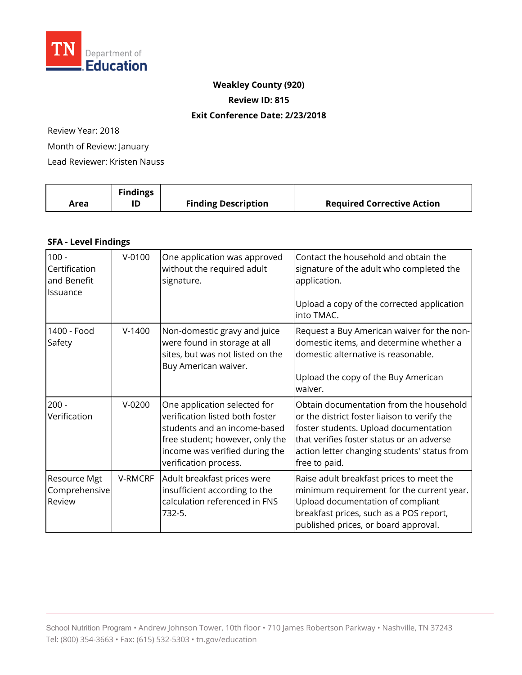

# **Weakley County (920)**

**Review ID: 815** 

#### **Exit Conference Date: 2/23/2018**

Review Year: 2018

Month of Review: January

Lead Reviewer: Kristen Nauss

|      | <b>Findings</b> |                            |                                   |
|------|-----------------|----------------------------|-----------------------------------|
| Area |                 | <b>Finding Description</b> | <b>Required Corrective Action</b> |

### **SFA - Level Findings**

| $100 -$<br>Certification<br>and Benefit<br>Issuance | $V-0100$ | One application was approved<br>without the required adult<br>signature.                                                                                                                      | Contact the household and obtain the<br>signature of the adult who completed the<br>application.<br>Upload a copy of the corrected application<br>into TMAC.                                                                                   |
|-----------------------------------------------------|----------|-----------------------------------------------------------------------------------------------------------------------------------------------------------------------------------------------|------------------------------------------------------------------------------------------------------------------------------------------------------------------------------------------------------------------------------------------------|
| 1400 - Food<br>Safety                               | $V-1400$ | Non-domestic gravy and juice<br>were found in storage at all<br>sites, but was not listed on the<br>Buy American waiver.                                                                      | Request a Buy American waiver for the non-<br>domestic items, and determine whether a<br>domestic alternative is reasonable.<br>Upload the copy of the Buy American<br>waiver.                                                                 |
| $200 -$<br>Verification                             | $V-0200$ | One application selected for<br>verification listed both foster<br>students and an income-based<br>free student; however, only the<br>income was verified during the<br>verification process. | Obtain documentation from the household<br>or the district foster liaison to verify the<br>foster students. Upload documentation<br>that verifies foster status or an adverse<br>action letter changing students' status from<br>free to paid. |
| Resource Mgt<br>Comprehensive<br>Review             | V-RMCRF  | Adult breakfast prices were<br>insufficient according to the<br>calculation referenced in FNS<br>732-5.                                                                                       | Raise adult breakfast prices to meet the<br>minimum requirement for the current year.<br>Upload documentation of compliant<br>breakfast prices, such as a POS report,<br>published prices, or board approval.                                  |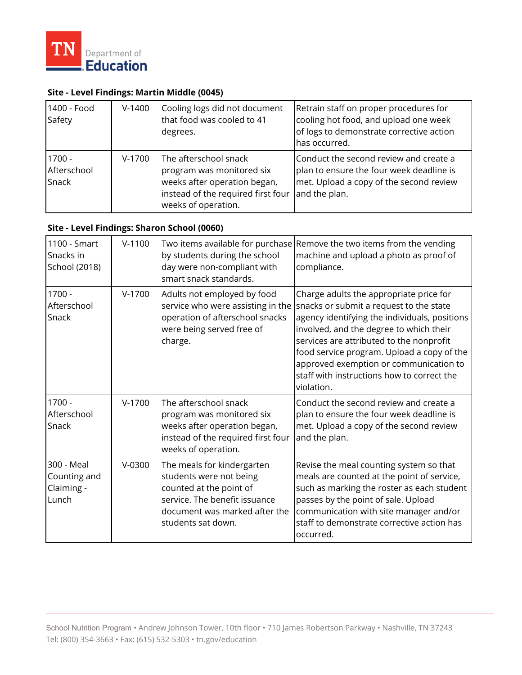

## **Site - Level Findings: Martin Middle (0045)**

| 1400 - Food<br>Safety            | $V-1400$ | Cooling logs did not document<br>that food was cooled to 41<br>degrees.                                                                         | Retrain staff on proper procedures for<br>cooling hot food, and upload one week<br>of logs to demonstrate corrective action<br>has occurred.   |
|----------------------------------|----------|-------------------------------------------------------------------------------------------------------------------------------------------------|------------------------------------------------------------------------------------------------------------------------------------------------|
| $1700 -$<br>Afterschool<br>Snack | $V-1700$ | The afterschool snack<br>program was monitored six<br>weeks after operation began,<br>instead of the required first four<br>weeks of operation. | Conduct the second review and create a<br>plan to ensure the four week deadline is<br>met. Upload a copy of the second review<br>and the plan. |

## **Site - Level Findings: Sharon School (0060)**

| 1100 - Smart<br>Snacks in<br>School (2018)        | $V-1100$ | by students during the school<br>day were non-compliant with<br>smart snack standards.                                                                                   | Two items available for purchase Remove the two items from the vending<br>machine and upload a photo as proof of<br>compliance.                                                                                                                                                                                                                                                |
|---------------------------------------------------|----------|--------------------------------------------------------------------------------------------------------------------------------------------------------------------------|--------------------------------------------------------------------------------------------------------------------------------------------------------------------------------------------------------------------------------------------------------------------------------------------------------------------------------------------------------------------------------|
| 1700 -<br>Afterschool<br>Snack                    | $V-1700$ | Adults not employed by food<br>service who were assisting in the<br>operation of afterschool snacks<br>were being served free of<br>charge.                              | Charge adults the appropriate price for<br>snacks or submit a request to the state<br>agency identifying the individuals, positions<br>involved, and the degree to which their<br>services are attributed to the nonprofit<br>food service program. Upload a copy of the<br>approved exemption or communication to<br>staff with instructions how to correct the<br>violation. |
| $1700 -$<br>Afterschool<br>Snack                  | $V-1700$ | The afterschool snack<br>program was monitored six<br>weeks after operation began,<br>instead of the required first four<br>weeks of operation.                          | Conduct the second review and create a<br>plan to ensure the four week deadline is<br>met. Upload a copy of the second review<br>and the plan.                                                                                                                                                                                                                                 |
| 300 - Meal<br>Counting and<br>Claiming -<br>Lunch | $V-0300$ | The meals for kindergarten<br>students were not being<br>counted at the point of<br>service. The benefit issuance<br>document was marked after the<br>students sat down. | Revise the meal counting system so that<br>meals are counted at the point of service,<br>such as marking the roster as each student<br>passes by the point of sale. Upload<br>communication with site manager and/or<br>staff to demonstrate corrective action has<br>occurred.                                                                                                |